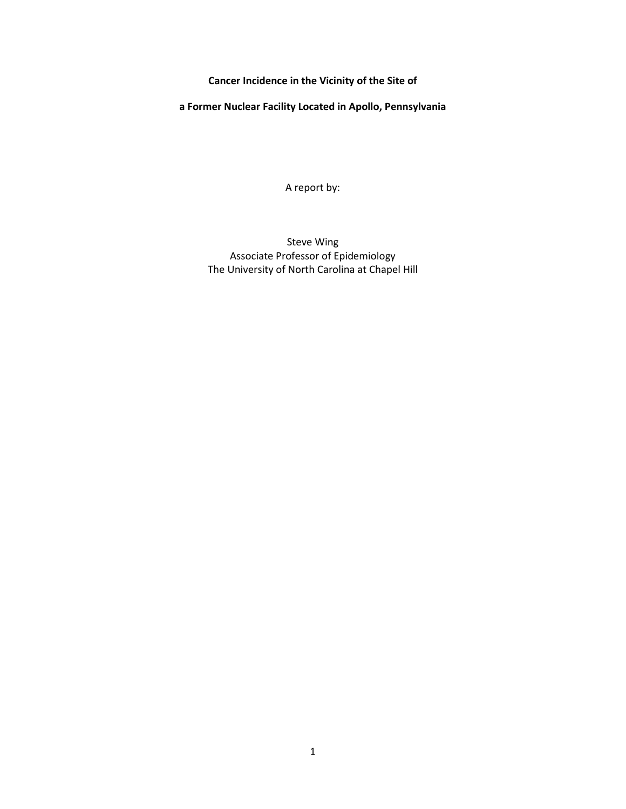**Cancer Incidence in the Vicinity of the Site of** 

**a Former Nuclear Facility Located in Apollo, Pennsylvania**

A report by:

Steve Wing Associate Professor of Epidemiology The University of North Carolina at Chapel Hill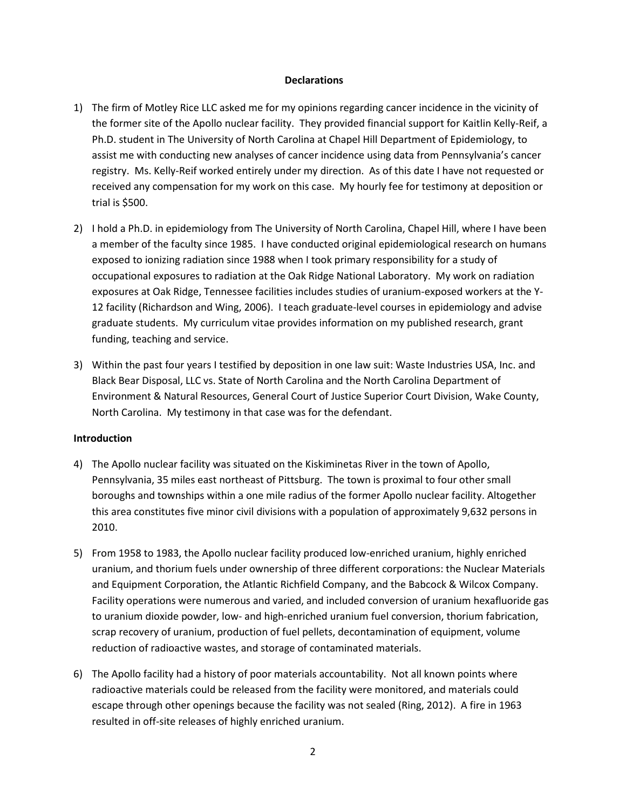### **Declarations**

- 1) The firm of Motley Rice LLC asked me for my opinions regarding cancer incidence in the vicinity of the former site of the Apollo nuclear facility. They provided financial support for Kaitlin Kelly-Reif, a Ph.D. student in The University of North Carolina at Chapel Hill Department of Epidemiology, to assist me with conducting new analyses of cancer incidence using data from Pennsylvania's cancer registry. Ms. Kelly-Reif worked entirely under my direction. As of this date I have not requested or received any compensation for my work on this case. My hourly fee for testimony at deposition or trial is \$500.
- 2) I hold a Ph.D. in epidemiology from The University of North Carolina, Chapel Hill, where I have been a member of the faculty since 1985. I have conducted original epidemiological research on humans exposed to ionizing radiation since 1988 when I took primary responsibility for a study of occupational exposures to radiation at the Oak Ridge National Laboratory. My work on radiation exposures at Oak Ridge, Tennessee facilities includes studies of uranium-exposed workers at the Y-12 facility (Richardson and Wing, 2006). I teach graduate-level courses in epidemiology and advise graduate students. My curriculum vitae provides information on my published research, grant funding, teaching and service.
- 3) Within the past four years I testified by deposition in one law suit: Waste Industries USA, Inc. and Black Bear Disposal, LLC vs. State of North Carolina and the North Carolina Department of Environment & Natural Resources, General Court of Justice Superior Court Division, Wake County, North Carolina. My testimony in that case was for the defendant.

# **Introduction**

- 4) The Apollo nuclear facility was situated on the Kiskiminetas River in the town of Apollo, Pennsylvania, 35 miles east northeast of Pittsburg. The town is proximal to four other small boroughs and townships within a one mile radius of the former Apollo nuclear facility. Altogether this area constitutes five minor civil divisions with a population of approximately 9,632 persons in 2010.
- 5) From 1958 to 1983, the Apollo nuclear facility produced low-enriched uranium, highly enriched uranium, and thorium fuels under ownership of three different corporations: the Nuclear Materials and Equipment Corporation, the Atlantic Richfield Company, and the Babcock & Wilcox Company. Facility operations were numerous and varied, and included conversion of uranium hexafluoride gas to uranium dioxide powder, low- and high-enriched uranium fuel conversion, thorium fabrication, scrap recovery of uranium, production of fuel pellets, decontamination of equipment, volume reduction of radioactive wastes, and storage of contaminated materials.
- 6) The Apollo facility had a history of poor materials accountability. Not all known points where radioactive materials could be released from the facility were monitored, and materials could escape through other openings because the facility was not sealed (Ring, 2012). A fire in 1963 resulted in off-site releases of highly enriched uranium.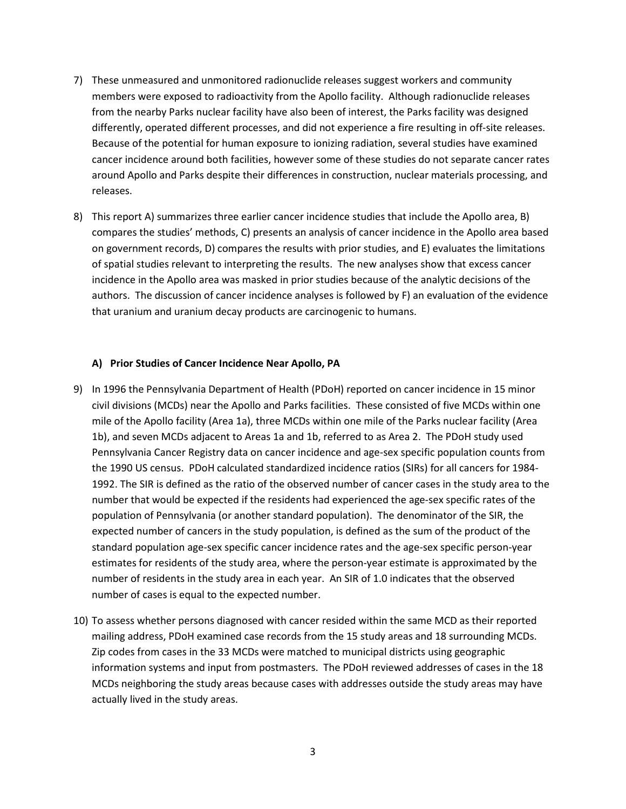- 7) These unmeasured and unmonitored radionuclide releases suggest workers and community members were exposed to radioactivity from the Apollo facility. Although radionuclide releases from the nearby Parks nuclear facility have also been of interest, the Parks facility was designed differently, operated different processes, and did not experience a fire resulting in off-site releases. Because of the potential for human exposure to ionizing radiation, several studies have examined cancer incidence around both facilities, however some of these studies do not separate cancer rates around Apollo and Parks despite their differences in construction, nuclear materials processing, and releases.
- 8) This report A) summarizes three earlier cancer incidence studies that include the Apollo area, B) compares the studies' methods, C) presents an analysis of cancer incidence in the Apollo area based on government records, D) compares the results with prior studies, and E) evaluates the limitations of spatial studies relevant to interpreting the results. The new analyses show that excess cancer incidence in the Apollo area was masked in prior studies because of the analytic decisions of the authors. The discussion of cancer incidence analyses is followed by F) an evaluation of the evidence that uranium and uranium decay products are carcinogenic to humans.

### **A) Prior Studies of Cancer Incidence Near Apollo, PA**

- 9) In 1996 the Pennsylvania Department of Health (PDoH) reported on cancer incidence in 15 minor civil divisions (MCDs) near the Apollo and Parks facilities. These consisted of five MCDs within one mile of the Apollo facility (Area 1a), three MCDs within one mile of the Parks nuclear facility (Area 1b), and seven MCDs adjacent to Areas 1a and 1b, referred to as Area 2. The PDoH study used Pennsylvania Cancer Registry data on cancer incidence and age-sex specific population counts from the 1990 US census. PDoH calculated standardized incidence ratios (SIRs) for all cancers for 1984- 1992. The SIR is defined as the ratio of the observed number of cancer cases in the study area to the number that would be expected if the residents had experienced the age-sex specific rates of the population of Pennsylvania (or another standard population). The denominator of the SIR, the expected number of cancers in the study population, is defined as the sum of the product of the standard population age-sex specific cancer incidence rates and the age-sex specific person-year estimates for residents of the study area, where the person-year estimate is approximated by the number of residents in the study area in each year. An SIR of 1.0 indicates that the observed number of cases is equal to the expected number.
- 10) To assess whether persons diagnosed with cancer resided within the same MCD as their reported mailing address, PDoH examined case records from the 15 study areas and 18 surrounding MCDs. Zip codes from cases in the 33 MCDs were matched to municipal districts using geographic information systems and input from postmasters. The PDoH reviewed addresses of cases in the 18 MCDs neighboring the study areas because cases with addresses outside the study areas may have actually lived in the study areas.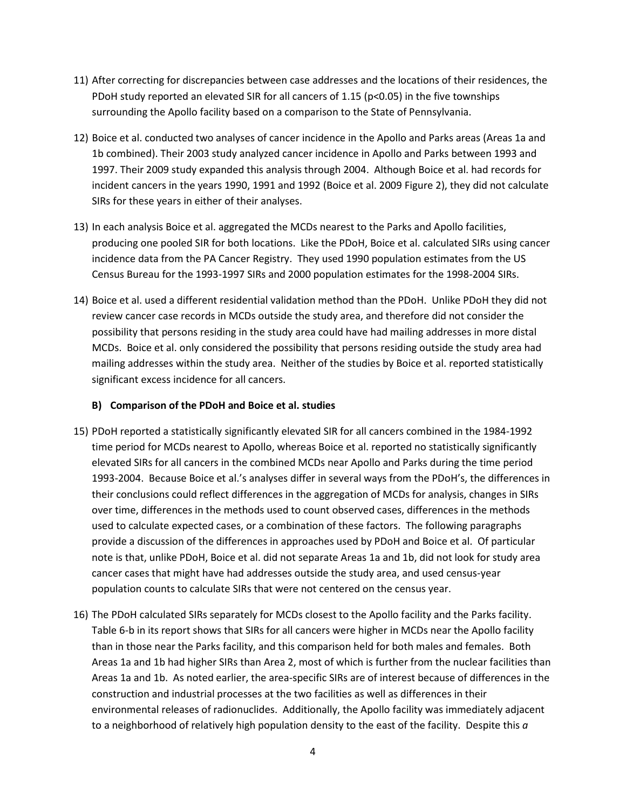- 11) After correcting for discrepancies between case addresses and the locations of their residences, the PDoH study reported an elevated SIR for all cancers of 1.15 (p<0.05) in the five townships surrounding the Apollo facility based on a comparison to the State of Pennsylvania.
- 12) Boice et al. conducted two analyses of cancer incidence in the Apollo and Parks areas (Areas 1a and 1b combined). Their 2003 study analyzed cancer incidence in Apollo and Parks between 1993 and 1997. Their 2009 study expanded this analysis through 2004. Although Boice et al. had records for incident cancers in the years 1990, 1991 and 1992 (Boice et al. 2009 Figure 2), they did not calculate SIRs for these years in either of their analyses.
- 13) In each analysis Boice et al. aggregated the MCDs nearest to the Parks and Apollo facilities, producing one pooled SIR for both locations. Like the PDoH, Boice et al. calculated SIRs using cancer incidence data from the PA Cancer Registry. They used 1990 population estimates from the US Census Bureau for the 1993-1997 SIRs and 2000 population estimates for the 1998-2004 SIRs.
- 14) Boice et al. used a different residential validation method than the PDoH. Unlike PDoH they did not review cancer case records in MCDs outside the study area, and therefore did not consider the possibility that persons residing in the study area could have had mailing addresses in more distal MCDs. Boice et al. only considered the possibility that persons residing outside the study area had mailing addresses within the study area. Neither of the studies by Boice et al. reported statistically significant excess incidence for all cancers.

# **B) Comparison of the PDoH and Boice et al. studies**

- 15) PDoH reported a statistically significantly elevated SIR for all cancers combined in the 1984-1992 time period for MCDs nearest to Apollo, whereas Boice et al. reported no statistically significantly elevated SIRs for all cancers in the combined MCDs near Apollo and Parks during the time period 1993-2004. Because Boice et al.'s analyses differ in several ways from the PDoH's, the differences in their conclusions could reflect differences in the aggregation of MCDs for analysis, changes in SIRs over time, differences in the methods used to count observed cases, differences in the methods used to calculate expected cases, or a combination of these factors. The following paragraphs provide a discussion of the differences in approaches used by PDoH and Boice et al. Of particular note is that, unlike PDoH, Boice et al. did not separate Areas 1a and 1b, did not look for study area cancer cases that might have had addresses outside the study area, and used census-year population counts to calculate SIRs that were not centered on the census year.
- 16) The PDoH calculated SIRs separately for MCDs closest to the Apollo facility and the Parks facility. Table 6-b in its report shows that SIRs for all cancers were higher in MCDs near the Apollo facility than in those near the Parks facility, and this comparison held for both males and females. Both Areas 1a and 1b had higher SIRs than Area 2, most of which is further from the nuclear facilities than Areas 1a and 1b. As noted earlier, the area-specific SIRs are of interest because of differences in the construction and industrial processes at the two facilities as well as differences in their environmental releases of radionuclides. Additionally, the Apollo facility was immediately adjacent to a neighborhood of relatively high population density to the east of the facility. Despite this *a*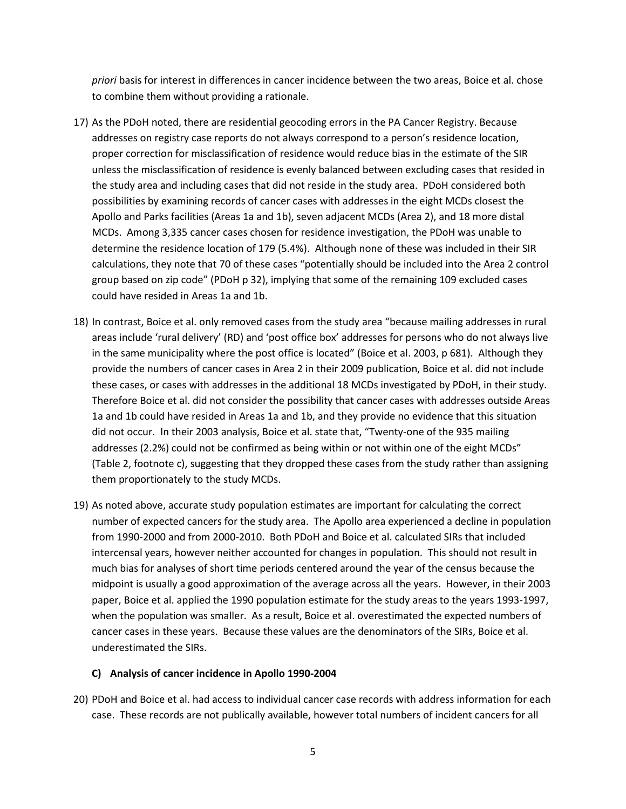*priori* basis for interest in differences in cancer incidence between the two areas, Boice et al. chose to combine them without providing a rationale.

- 17) As the PDoH noted, there are residential geocoding errors in the PA Cancer Registry. Because addresses on registry case reports do not always correspond to a person's residence location, proper correction for misclassification of residence would reduce bias in the estimate of the SIR unless the misclassification of residence is evenly balanced between excluding cases that resided in the study area and including cases that did not reside in the study area. PDoH considered both possibilities by examining records of cancer cases with addresses in the eight MCDs closest the Apollo and Parks facilities (Areas 1a and 1b), seven adjacent MCDs (Area 2), and 18 more distal MCDs. Among 3,335 cancer cases chosen for residence investigation, the PDoH was unable to determine the residence location of 179 (5.4%). Although none of these was included in their SIR calculations, they note that 70 of these cases "potentially should be included into the Area 2 control group based on zip code" (PDoH p 32), implying that some of the remaining 109 excluded cases could have resided in Areas 1a and 1b.
- 18) In contrast, Boice et al. only removed cases from the study area "because mailing addresses in rural areas include 'rural delivery' (RD) and 'post office box' addresses for persons who do not always live in the same municipality where the post office is located" (Boice et al. 2003, p 681). Although they provide the numbers of cancer cases in Area 2 in their 2009 publication, Boice et al. did not include these cases, or cases with addresses in the additional 18 MCDs investigated by PDoH, in their study. Therefore Boice et al. did not consider the possibility that cancer cases with addresses outside Areas 1a and 1b could have resided in Areas 1a and 1b, and they provide no evidence that this situation did not occur. In their 2003 analysis, Boice et al. state that, "Twenty-one of the 935 mailing addresses (2.2%) could not be confirmed as being within or not within one of the eight MCDs" (Table 2, footnote c), suggesting that they dropped these cases from the study rather than assigning them proportionately to the study MCDs.
- 19) As noted above, accurate study population estimates are important for calculating the correct number of expected cancers for the study area. The Apollo area experienced a decline in population from 1990-2000 and from 2000-2010. Both PDoH and Boice et al. calculated SIRs that included intercensal years, however neither accounted for changes in population. This should not result in much bias for analyses of short time periods centered around the year of the census because the midpoint is usually a good approximation of the average across all the years. However, in their 2003 paper, Boice et al. applied the 1990 population estimate for the study areas to the years 1993-1997, when the population was smaller. As a result, Boice et al. overestimated the expected numbers of cancer cases in these years. Because these values are the denominators of the SIRs, Boice et al. underestimated the SIRs.

### **C) Analysis of cancer incidence in Apollo 1990-2004**

20) PDoH and Boice et al. had access to individual cancer case records with address information for each case. These records are not publically available, however total numbers of incident cancers for all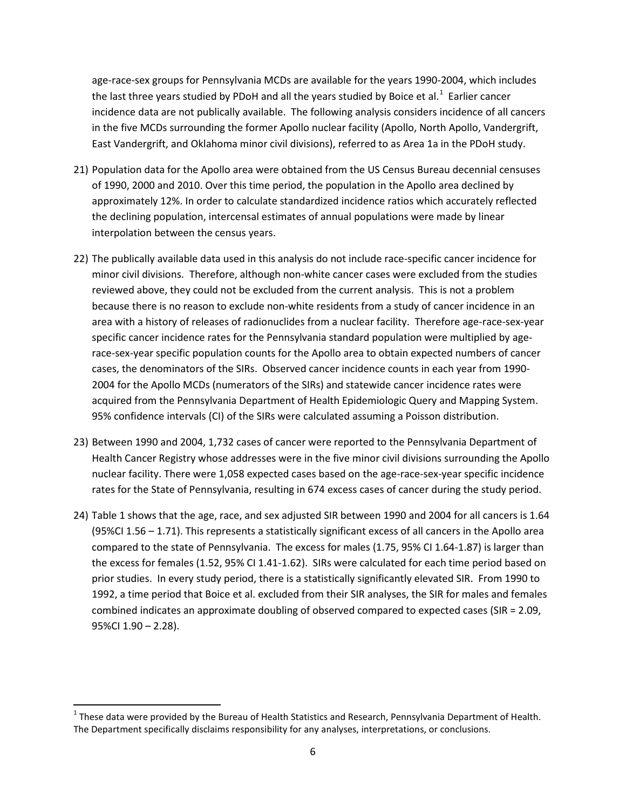age-race-sex groups for Pennsylvania MCDs are available for the years 1990-2004, which includes the last three years studied by PDoH and all the years studied by Boice et al.<sup>[1](#page-5-0)</sup> Earlier cancer incidence data are not publically available. The following analysis considers incidence of all cancers in the five MCDs surrounding the former Apollo nuclear facility (Apollo, North Apollo, Vandergrift, East Vandergrift, and Oklahoma minor civil divisions), referred to as Area 1a in the PDoH study.

- 21) Population data for the Apollo area were obtained from the US Census Bureau decennial censuses of 1990, 2000 and 2010. Over this time period, the population in the Apollo area declined by approximately 12%. In order to calculate standardized incidence ratios which accurately reflected the declining population, intercensal estimates of annual populations were made by linear interpolation between the census years.
- 22) The publically available data used in this analysis do not include race-specific cancer incidence for minor civil divisions. Therefore, although non-white cancer cases were excluded from the studies reviewed above, they could not be excluded from the current analysis. This is not a problem because there is no reason to exclude non-white residents from a study of cancer incidence in an area with a history of releases of radionuclides from a nuclear facility. Therefore age-race-sex-year specific cancer incidence rates for the Pennsylvania standard population were multiplied by agerace-sex-year specific population counts for the Apollo area to obtain expected numbers of cancer cases, the denominators of the SIRs. Observed cancer incidence counts in each year from 1990- 2004 for the Apollo MCDs (numerators of the SIRs) and statewide cancer incidence rates were acquired from the Pennsylvania Department of Health Epidemiologic Query and Mapping System. 95% confidence intervals (CI) of the SIRs were calculated assuming a Poisson distribution.
- 23) Between 1990 and 2004, 1,732 cases of cancer were reported to the Pennsylvania Department of Health Cancer Registry whose addresses were in the five minor civil divisions surrounding the Apollo nuclear facility. There were 1,058 expected cases based on the age-race-sex-year specific incidence rates for the State of Pennsylvania, resulting in 674 excess cases of cancer during the study period.
- 24) Table 1 shows that the age, race, and sex adjusted SIR between 1990 and 2004 for all cancers is 1.64 (95%CI 1.56 – 1.71). This represents a statistically significant excess of all cancers in the Apollo area compared to the state of Pennsylvania. The excess for males (1.75, 95% CI 1.64-1.87) is larger than the excess for females (1.52, 95% CI 1.41-1.62). SIRs were calculated for each time period based on prior studies. In every study period, there is a statistically significantly elevated SIR. From 1990 to 1992, a time period that Boice et al. excluded from their SIR analyses, the SIR for males and females combined indicates an approximate doubling of observed compared to expected cases (SIR = 2.09, 95%CI 1.90 – 2.28).

<span id="page-5-0"></span> $1$  These data were provided by the Bureau of Health Statistics and Research, Pennsylvania Department of Health. The Department specifically disclaims responsibility for any analyses, interpretations, or conclusions.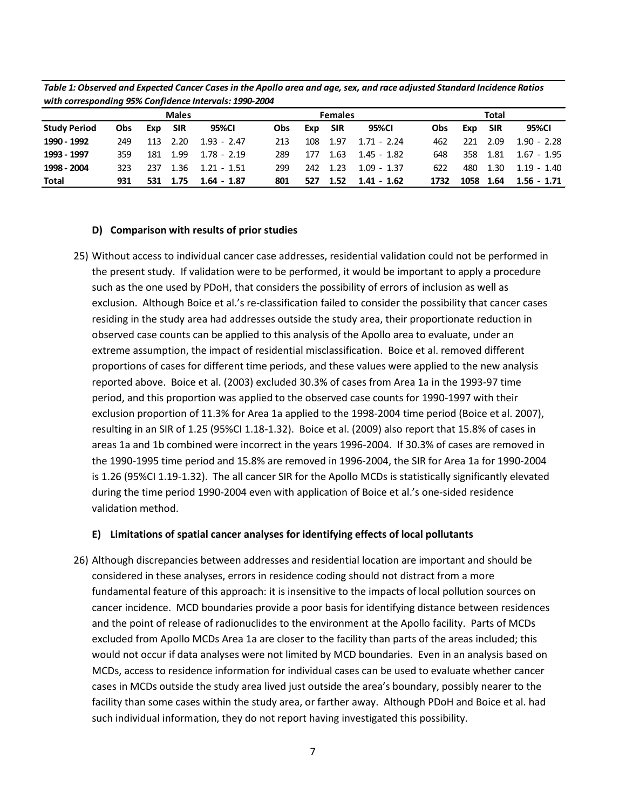| with conceptioning 33% configurate micrograph 2330 2007 |              |     |       |               |                |     |            |               |            |      |            |               |
|---------------------------------------------------------|--------------|-----|-------|---------------|----------------|-----|------------|---------------|------------|------|------------|---------------|
|                                                         | <b>Males</b> |     |       |               | <b>Females</b> |     |            |               | Total      |      |            |               |
| <b>Study Period</b>                                     | <b>Obs</b>   | Exp | – SIR | 95%CI         | Obs.           | Exp | <b>SIR</b> | 95%CI         | <b>Obs</b> | Exp  | <b>SIR</b> | 95%CI         |
| 1990 - 1992                                             | 249          | 113 | 2.20  | $1.93 - 2.47$ | 213            | 108 | 1.97       | $1.71 - 2.24$ | 462        | 221  | 2.09       | $1.90 - 2.28$ |
| 1993 - 1997                                             | 359          | 181 | 1.99  | $1.78 - 2.19$ | 289            | 177 | 1.63       | $1.45 - 1.82$ | 648        | 358  | 1.81       | $1.67 - 1.95$ |
| 1998 - 2004                                             | 323          | 237 | 1.36  | $1.21 - 1.51$ | 299            | 242 | 1.23       | $1.09 - 1.37$ | 622        | 480  | 1.30       | $1.19 - 1.40$ |
| <b>Total</b>                                            | 931          | 531 | 1.75  | $1.64 - 1.87$ | 801            | 527 | 1.52       | 1.41 - 1.62   | 1732       | 1058 | 1.64       | $1.56 - 1.71$ |

*Table 1: Observed and Expected Cancer Cases in the Apollo area and age, sex, and race adjusted Standard Incidence Ratios with corresponding 95% Confidence Intervals: 1990-2004*

### **D) Comparison with results of prior studies**

25) Without access to individual cancer case addresses, residential validation could not be performed in the present study. If validation were to be performed, it would be important to apply a procedure such as the one used by PDoH, that considers the possibility of errors of inclusion as well as exclusion. Although Boice et al.'s re-classification failed to consider the possibility that cancer cases residing in the study area had addresses outside the study area, their proportionate reduction in observed case counts can be applied to this analysis of the Apollo area to evaluate, under an extreme assumption, the impact of residential misclassification. Boice et al. removed different proportions of cases for different time periods, and these values were applied to the new analysis reported above. Boice et al. (2003) excluded 30.3% of cases from Area 1a in the 1993-97 time period, and this proportion was applied to the observed case counts for 1990-1997 with their exclusion proportion of 11.3% for Area 1a applied to the 1998-2004 time period (Boice et al. 2007), resulting in an SIR of 1.25 (95%CI 1.18-1.32). Boice et al. (2009) also report that 15.8% of cases in areas 1a and 1b combined were incorrect in the years 1996-2004. If 30.3% of cases are removed in the 1990-1995 time period and 15.8% are removed in 1996-2004, the SIR for Area 1a for 1990-2004 is 1.26 (95%CI 1.19-1.32). The all cancer SIR for the Apollo MCDs is statistically significantly elevated during the time period 1990-2004 even with application of Boice et al.'s one-sided residence validation method.

## **E) Limitations of spatial cancer analyses for identifying effects of local pollutants**

26) Although discrepancies between addresses and residential location are important and should be considered in these analyses, errors in residence coding should not distract from a more fundamental feature of this approach: it is insensitive to the impacts of local pollution sources on cancer incidence. MCD boundaries provide a poor basis for identifying distance between residences and the point of release of radionuclides to the environment at the Apollo facility. Parts of MCDs excluded from Apollo MCDs Area 1a are closer to the facility than parts of the areas included; this would not occur if data analyses were not limited by MCD boundaries. Even in an analysis based on MCDs, access to residence information for individual cases can be used to evaluate whether cancer cases in MCDs outside the study area lived just outside the area's boundary, possibly nearer to the facility than some cases within the study area, or farther away. Although PDoH and Boice et al. had such individual information, they do not report having investigated this possibility.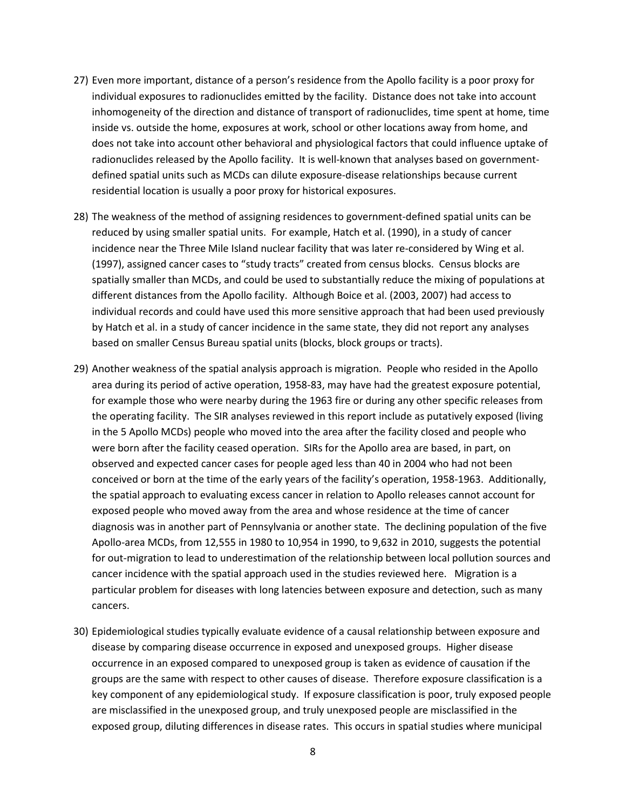- 27) Even more important, distance of a person's residence from the Apollo facility is a poor proxy for individual exposures to radionuclides emitted by the facility. Distance does not take into account inhomogeneity of the direction and distance of transport of radionuclides, time spent at home, time inside vs. outside the home, exposures at work, school or other locations away from home, and does not take into account other behavioral and physiological factors that could influence uptake of radionuclides released by the Apollo facility. It is well-known that analyses based on governmentdefined spatial units such as MCDs can dilute exposure-disease relationships because current residential location is usually a poor proxy for historical exposures.
- 28) The weakness of the method of assigning residences to government-defined spatial units can be reduced by using smaller spatial units. For example, Hatch et al. (1990), in a study of cancer incidence near the Three Mile Island nuclear facility that was later re-considered by Wing et al. (1997), assigned cancer cases to "study tracts" created from census blocks. Census blocks are spatially smaller than MCDs, and could be used to substantially reduce the mixing of populations at different distances from the Apollo facility. Although Boice et al. (2003, 2007) had access to individual records and could have used this more sensitive approach that had been used previously by Hatch et al. in a study of cancer incidence in the same state, they did not report any analyses based on smaller Census Bureau spatial units (blocks, block groups or tracts).
- 29) Another weakness of the spatial analysis approach is migration. People who resided in the Apollo area during its period of active operation, 1958-83, may have had the greatest exposure potential, for example those who were nearby during the 1963 fire or during any other specific releases from the operating facility. The SIR analyses reviewed in this report include as putatively exposed (living in the 5 Apollo MCDs) people who moved into the area after the facility closed and people who were born after the facility ceased operation. SIRs for the Apollo area are based, in part, on observed and expected cancer cases for people aged less than 40 in 2004 who had not been conceived or born at the time of the early years of the facility's operation, 1958-1963. Additionally, the spatial approach to evaluating excess cancer in relation to Apollo releases cannot account for exposed people who moved away from the area and whose residence at the time of cancer diagnosis was in another part of Pennsylvania or another state. The declining population of the five Apollo-area MCDs, from 12,555 in 1980 to 10,954 in 1990, to 9,632 in 2010, suggests the potential for out-migration to lead to underestimation of the relationship between local pollution sources and cancer incidence with the spatial approach used in the studies reviewed here. Migration is a particular problem for diseases with long latencies between exposure and detection, such as many cancers.
- 30) Epidemiological studies typically evaluate evidence of a causal relationship between exposure and disease by comparing disease occurrence in exposed and unexposed groups. Higher disease occurrence in an exposed compared to unexposed group is taken as evidence of causation if the groups are the same with respect to other causes of disease. Therefore exposure classification is a key component of any epidemiological study. If exposure classification is poor, truly exposed people are misclassified in the unexposed group, and truly unexposed people are misclassified in the exposed group, diluting differences in disease rates. This occurs in spatial studies where municipal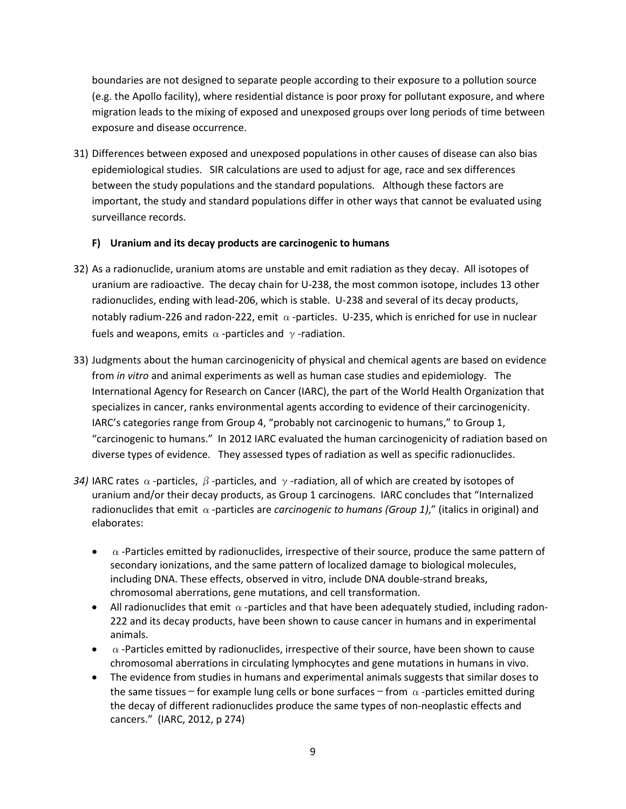boundaries are not designed to separate people according to their exposure to a pollution source (e.g. the Apollo facility), where residential distance is poor proxy for pollutant exposure, and where migration leads to the mixing of exposed and unexposed groups over long periods of time between exposure and disease occurrence.

31) Differences between exposed and unexposed populations in other causes of disease can also bias epidemiological studies. SIR calculations are used to adjust for age, race and sex differences between the study populations and the standard populations. Although these factors are important, the study and standard populations differ in other ways that cannot be evaluated using surveillance records.

# **F) Uranium and its decay products are carcinogenic to humans**

- 32) As a radionuclide, uranium atoms are unstable and emit radiation as they decay. All isotopes of uranium are radioactive. The decay chain for U-238, the most common isotope, includes 13 other radionuclides, ending with lead-206, which is stable. U-238 and several of its decay products, notably radium-226 and radon-222, emit  $\alpha$ -particles. U-235, which is enriched for use in nuclear fuels and weapons, emits  $\alpha$ -particles and  $\gamma$ -radiation.
- 33) Judgments about the human carcinogenicity of physical and chemical agents are based on evidence from *in vitro* and animal experiments as well as human case studies and epidemiology. The International Agency for Research on Cancer (IARC), the part of the World Health Organization that specializes in cancer, ranks environmental agents according to evidence of their carcinogenicity. IARC's categories range from Group 4, "probably not carcinogenic to humans," to Group 1, "carcinogenic to humans." In 2012 IARC evaluated the human carcinogenicity of radiation based on diverse types of evidence. They assessed types of radiation as well as specific radionuclides.
- *34)* IARC rates  $\alpha$ -particles,  $\beta$ -particles, and  $\gamma$ -radiation, all of which are created by isotopes of uranium and/or their decay products, as Group 1 carcinogens. IARC concludes that "Internalized radionuclides that emit  $\alpha$  -particles are *carcinogenic to humans (Group 1)*," (italics in original) and elaborates:
	- $\bullet$   $\alpha$ -Particles emitted by radionuclides, irrespective of their source, produce the same pattern of secondary ionizations, and the same pattern of localized damage to biological molecules, including DNA. These effects, observed in vitro, include DNA double-strand breaks, chromosomal aberrations, gene mutations, and cell transformation.
	- All radionuclides that emit  $\alpha$ -particles and that have been adequately studied, including radon-222 and its decay products, have been shown to cause cancer in humans and in experimental animals.
	- $\bullet$   $\alpha$ -Particles emitted by radionuclides, irrespective of their source, have been shown to cause chromosomal aberrations in circulating lymphocytes and gene mutations in humans in vivo.
	- The evidence from studies in humans and experimental animals suggests that similar doses to the same tissues – for example lung cells or bone surfaces – from  $\alpha$ -particles emitted during the decay of different radionuclides produce the same types of non-neoplastic effects and cancers." (IARC, 2012, p 274)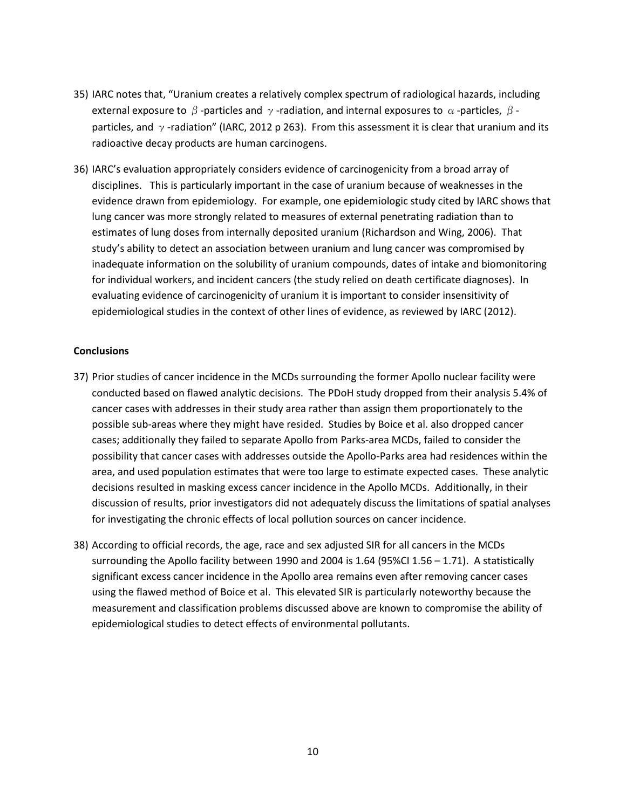- 35) IARC notes that, "Uranium creates a relatively complex spectrum of radiological hazards, including external exposure to  $\beta$  -particles and  $\gamma$  -radiation, and internal exposures to  $\alpha$  -particles,  $\beta$  particles, and  $\gamma$ -radiation" (IARC, 2012 p 263). From this assessment it is clear that uranium and its radioactive decay products are human carcinogens.
- 36) IARC's evaluation appropriately considers evidence of carcinogenicity from a broad array of disciplines. This is particularly important in the case of uranium because of weaknesses in the evidence drawn from epidemiology. For example, one epidemiologic study cited by IARC shows that lung cancer was more strongly related to measures of external penetrating radiation than to estimates of lung doses from internally deposited uranium (Richardson and Wing, 2006). That study's ability to detect an association between uranium and lung cancer was compromised by inadequate information on the solubility of uranium compounds, dates of intake and biomonitoring for individual workers, and incident cancers (the study relied on death certificate diagnoses). In evaluating evidence of carcinogenicity of uranium it is important to consider insensitivity of epidemiological studies in the context of other lines of evidence, as reviewed by IARC (2012).

### **Conclusions**

- 37) Prior studies of cancer incidence in the MCDs surrounding the former Apollo nuclear facility were conducted based on flawed analytic decisions. The PDoH study dropped from their analysis 5.4% of cancer cases with addresses in their study area rather than assign them proportionately to the possible sub-areas where they might have resided. Studies by Boice et al. also dropped cancer cases; additionally they failed to separate Apollo from Parks-area MCDs, failed to consider the possibility that cancer cases with addresses outside the Apollo-Parks area had residences within the area, and used population estimates that were too large to estimate expected cases. These analytic decisions resulted in masking excess cancer incidence in the Apollo MCDs. Additionally, in their discussion of results, prior investigators did not adequately discuss the limitations of spatial analyses for investigating the chronic effects of local pollution sources on cancer incidence.
- 38) According to official records, the age, race and sex adjusted SIR for all cancers in the MCDs surrounding the Apollo facility between 1990 and 2004 is 1.64 (95%CI 1.56 – 1.71). A statistically significant excess cancer incidence in the Apollo area remains even after removing cancer cases using the flawed method of Boice et al. This elevated SIR is particularly noteworthy because the measurement and classification problems discussed above are known to compromise the ability of epidemiological studies to detect effects of environmental pollutants.